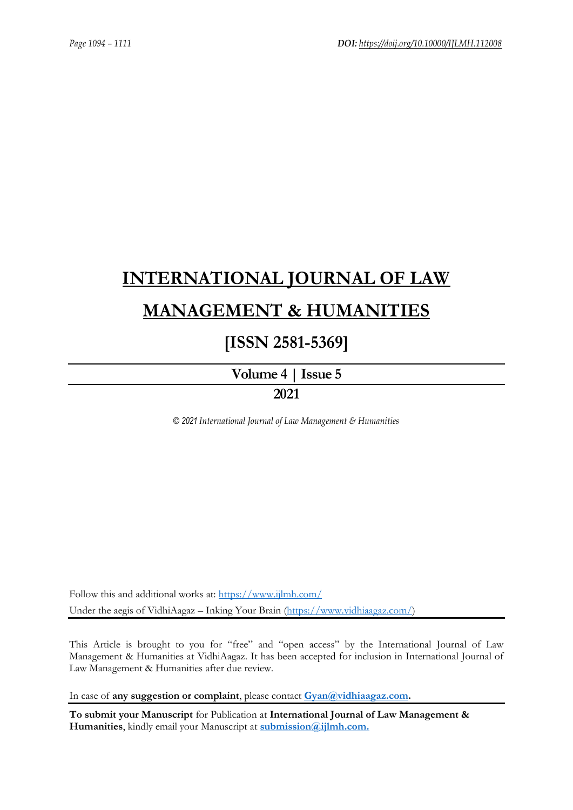# **[INTERNATIONAL JOURNAL OF LAW](https://www.ijlmh.com/)  [MANAGEMENT & HUMANITIES](https://www.ijlmh.com/)**

# **[ISSN 2581-5369]**

**[Volume 4 |](https://www.ijlmh.com/publications/volume-iv-issue-v/) Issue 5**

**2021**

*© 2021 International Journal of Law Management & Humanities*

Follow this and additional works at:<https://www.ijlmh.com/> Under the aegis of VidhiAagaz – Inking Your Brain [\(https://www.vidhiaagaz.com/\)](https://www.vidhiaagaz.com/)

This Article is brought to you for "free" and "open access" by the International Journal of Law Management & Humanities at VidhiAagaz. It has been accepted for inclusion in International Journal of Law Management & Humanities after due review.

In case of **any suggestion or complaint**, please contact **[Gyan@vidhiaagaz.com.](mailto:Gyan@vidhiaagaz.com)** 

**To submit your Manuscript** for Publication at **International Journal of Law Management & Humanities**, kindly email your Manuscript at **[submission@ijlmh.com.](mailto:submission@ijlmh.com)**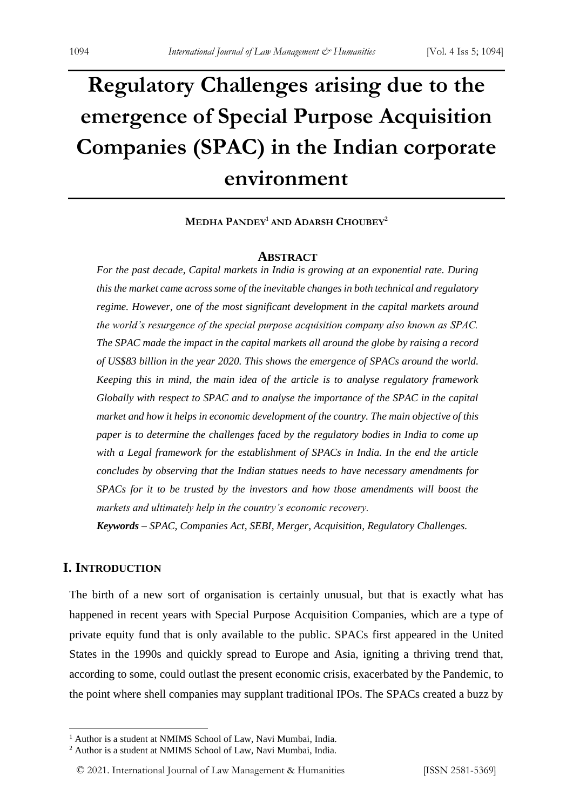# **Regulatory Challenges arising due to the emergence of Special Purpose Acquisition Companies (SPAC) in the Indian corporate environment**

**MEDHA PANDEY<sup>1</sup> AND ADARSH CHOUBEY<sup>2</sup>**

#### **ABSTRACT**

*For the past decade, Capital markets in India is growing at an exponential rate. During this the market came across some of the inevitable changes in both technical and regulatory regime. However, one of the most significant development in the capital markets around the world's resurgence of the special purpose acquisition company also known as SPAC. The SPAC made the impact in the capital markets all around the globe by raising a record of US\$83 billion in the year 2020. This shows the emergence of SPACs around the world. Keeping this in mind, the main idea of the article is to analyse regulatory framework Globally with respect to SPAC and to analyse the importance of the SPAC in the capital market and how it helps in economic development of the country. The main objective of this paper is to determine the challenges faced by the regulatory bodies in India to come up with a Legal framework for the establishment of SPACs in India. In the end the article concludes by observing that the Indian statues needs to have necessary amendments for SPACs for it to be trusted by the investors and how those amendments will boost the markets and ultimately help in the country's economic recovery.*

*Keywords – SPAC, Companies Act, SEBI, Merger, Acquisition, Regulatory Challenges.*

# **I. INTRODUCTION**

The birth of a new sort of organisation is certainly unusual, but that is exactly what has happened in recent years with Special Purpose Acquisition Companies, which are a type of private equity fund that is only available to the public. SPACs first appeared in the United States in the 1990s and quickly spread to Europe and Asia, igniting a thriving trend that, according to some, could outlast the present economic crisis, exacerbated by the Pandemic, to the point where shell companies may supplant traditional IPOs. The SPACs created a buzz by

<sup>&</sup>lt;sup>1</sup> Author is a student at NMIMS School of Law, Navi Mumbai, India.

<sup>2</sup> Author is a student at NMIMS School of Law, Navi Mumbai, India.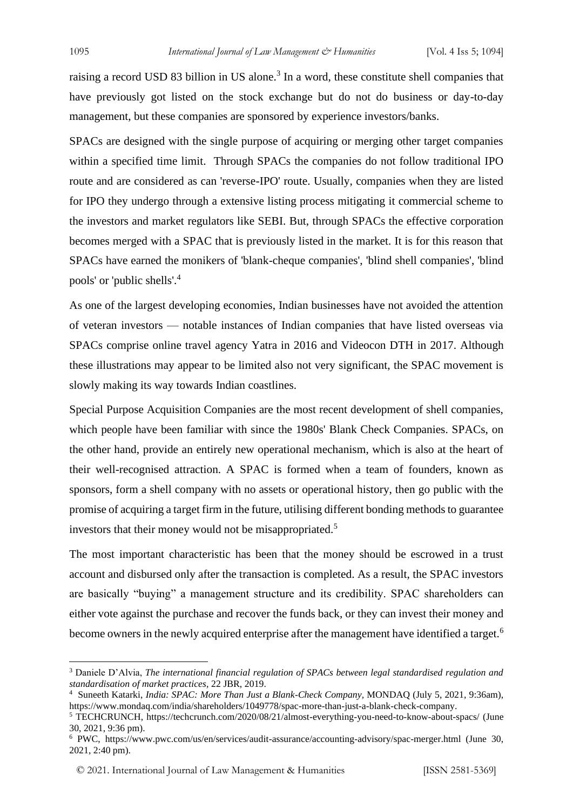raising a record USD 83 billion in US alone.<sup>3</sup> In a word, these constitute shell companies that have previously got listed on the stock exchange but do not do business or day-to-day management, but these companies are sponsored by experience investors/banks.

SPACs are designed with the single purpose of acquiring or merging other target companies within a specified time limit. Through SPACs the companies do not follow traditional IPO route and are considered as can 'reverse-IPO' route. Usually, companies when they are listed for IPO they undergo through a extensive listing process mitigating it commercial scheme to the investors and market regulators like SEBI. But, through SPACs the effective corporation becomes merged with a SPAC that is previously listed in the market. It is for this reason that SPACs have earned the monikers of 'blank-cheque companies', 'blind shell companies', 'blind pools' or 'public shells'.<sup>4</sup>

As one of the largest developing economies, Indian businesses have not avoided the attention of veteran investors — notable instances of Indian companies that have listed overseas via SPACs comprise online travel agency Yatra in 2016 and Videocon DTH in 2017. Although these illustrations may appear to be limited also not very significant, the SPAC movement is slowly making its way towards Indian coastlines.

Special Purpose Acquisition Companies are the most recent development of shell companies, which people have been familiar with since the 1980s' Blank Check Companies. SPACs, on the other hand, provide an entirely new operational mechanism, which is also at the heart of their well-recognised attraction. A SPAC is formed when a team of founders, known as sponsors, form a shell company with no assets or operational history, then go public with the promise of acquiring a target firm in the future, utilising different bonding methods to guarantee investors that their money would not be misappropriated.<sup>5</sup>

The most important characteristic has been that the money should be escrowed in a trust account and disbursed only after the transaction is completed. As a result, the SPAC investors are basically "buying" a management structure and its credibility. SPAC shareholders can either vote against the purchase and recover the funds back, or they can invest their money and become owners in the newly acquired enterprise after the management have identified a target.<sup>6</sup>

<sup>3</sup> Daniele D'Alvia, *The international financial regulation of SPACs between legal standardised regulation and standardisation of market practices,* 22 JBR, 2019.

<sup>4</sup> Suneeth Katarki, *India: SPAC: More Than Just a Blank-Check Company,* MONDAQ (July 5, 2021, 9:36am), https://www.mondaq.com/india/shareholders/1049778/spac-more-than-just-a-blank-check-company.

<sup>5</sup> TECHCRUNCH, https://techcrunch.com/2020/08/21/almost-everything-you-need-to-know-about-spacs/ (June 30, 2021, 9:36 pm).

<sup>6</sup> PWC, https://www.pwc.com/us/en/services/audit-assurance/accounting-advisory/spac-merger.html (June 30, 2021, 2:40 pm).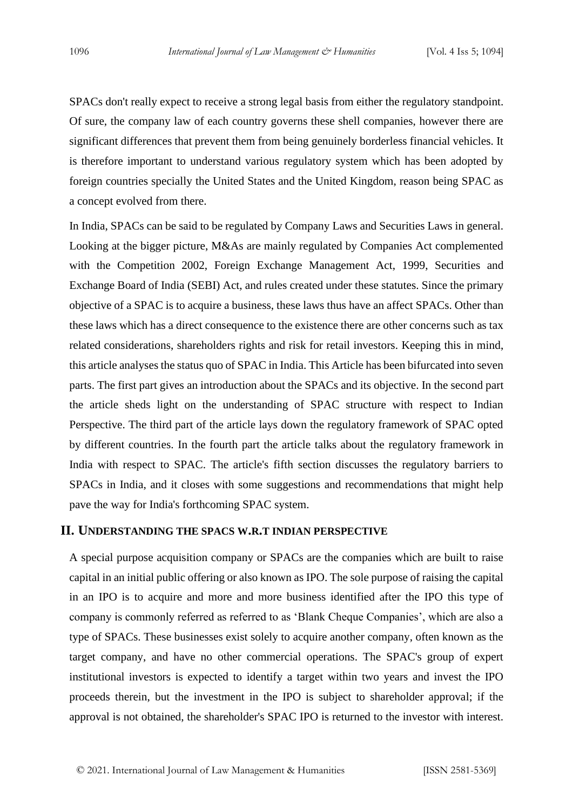SPACs don't really expect to receive a strong legal basis from either the regulatory standpoint. Of sure, the company law of each country governs these shell companies, however there are significant differences that prevent them from being genuinely borderless financial vehicles. It is therefore important to understand various regulatory system which has been adopted by foreign countries specially the United States and the United Kingdom, reason being SPAC as a concept evolved from there.

In India, SPACs can be said to be regulated by Company Laws and Securities Laws in general. Looking at the bigger picture, M&As are mainly regulated by Companies Act complemented with the Competition 2002, Foreign Exchange Management Act, 1999, Securities and Exchange Board of India (SEBI) Act, and rules created under these statutes. Since the primary objective of a SPAC is to acquire a business, these laws thus have an affect SPACs. Other than these laws which has a direct consequence to the existence there are other concerns such as tax related considerations, shareholders rights and risk for retail investors. Keeping this in mind, this article analyses the status quo of SPAC in India. This Article has been bifurcated into seven parts. The first part gives an introduction about the SPACs and its objective. In the second part the article sheds light on the understanding of SPAC structure with respect to Indian Perspective. The third part of the article lays down the regulatory framework of SPAC opted by different countries. In the fourth part the article talks about the regulatory framework in India with respect to SPAC. The article's fifth section discusses the regulatory barriers to SPACs in India, and it closes with some suggestions and recommendations that might help pave the way for India's forthcoming SPAC system.

### **II. UNDERSTANDING THE SPACS W.R.T INDIAN PERSPECTIVE**

A special purpose acquisition company or SPACs are the companies which are built to raise capital in an initial public offering or also known as IPO. The sole purpose of raising the capital in an IPO is to acquire and more and more business identified after the IPO this type of company is commonly referred as referred to as 'Blank Cheque Companies', which are also a type of SPACs. These businesses exist solely to acquire another company, often known as the target company, and have no other commercial operations. The SPAC's group of expert institutional investors is expected to identify a target within two years and invest the IPO proceeds therein, but the investment in the IPO is subject to shareholder approval; if the approval is not obtained, the shareholder's SPAC IPO is returned to the investor with interest.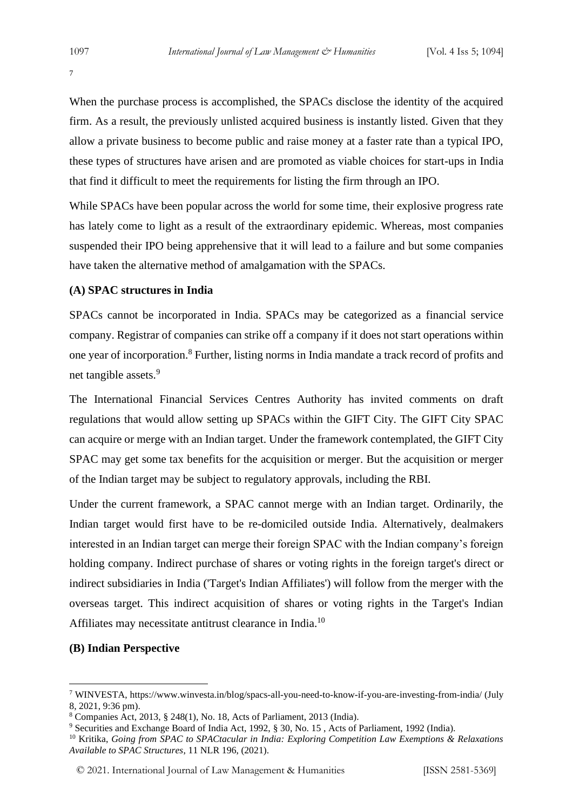7

When the purchase process is accomplished, the SPACs disclose the identity of the acquired firm. As a result, the previously unlisted acquired business is instantly listed. Given that they allow a private business to become public and raise money at a faster rate than a typical IPO, these types of structures have arisen and are promoted as viable choices for start-ups in India that find it difficult to meet the requirements for listing the firm through an IPO.

While SPACs have been popular across the world for some time, their explosive progress rate has lately come to light as a result of the extraordinary epidemic. Whereas, most companies suspended their IPO being apprehensive that it will lead to a failure and but some companies have taken the alternative method of amalgamation with the SPACs.

## **(A) SPAC structures in India**

SPACs cannot be incorporated in India. SPACs may be categorized as a financial service company. Registrar of companies can strike off a company if it does not start operations within one year of incorporation.<sup>8</sup> Further, listing norms in India mandate a track record of profits and net tangible assets.<sup>9</sup>

The International Financial Services Centres Authority has invited comments on draft regulations that would allow setting up SPACs within the GIFT City. The GIFT City SPAC can acquire or merge with an Indian target. Under the framework contemplated, the GIFT City SPAC may get some tax benefits for the acquisition or merger. But the acquisition or merger of the Indian target may be subject to regulatory approvals, including the RBI.

Under the current framework, a SPAC cannot merge with an Indian target. Ordinarily, the Indian target would first have to be re-domiciled outside India. Alternatively, dealmakers interested in an Indian target can merge their foreign SPAC with the Indian company's foreign holding company. Indirect purchase of shares or voting rights in the foreign target's direct or indirect subsidiaries in India ('Target's Indian Affiliates') will follow from the merger with the overseas target. This indirect acquisition of shares or voting rights in the Target's Indian Affiliates may necessitate antitrust clearance in India.<sup>10</sup>

#### **(B) Indian Perspective**

<sup>7</sup> WINVESTA, https://www.winvesta.in/blog/spacs-all-you-need-to-know-if-you-are-investing-from-india/ (July 8, 2021, 9:36 pm).

<sup>8</sup> Companies Act, 2013, § 248(1), No. 18, Acts of Parliament, 2013 (India).

<sup>9</sup> Securities and Exchange Board of India Act, 1992, § 30, No. 15 , Acts of Parliament, 1992 (India).

<sup>10</sup> Kritika, *Going from SPAC to SPACtacular in India: Exploring Competition Law Exemptions & Relaxations Available to SPAC Structures*, 11 NLR 196, (2021).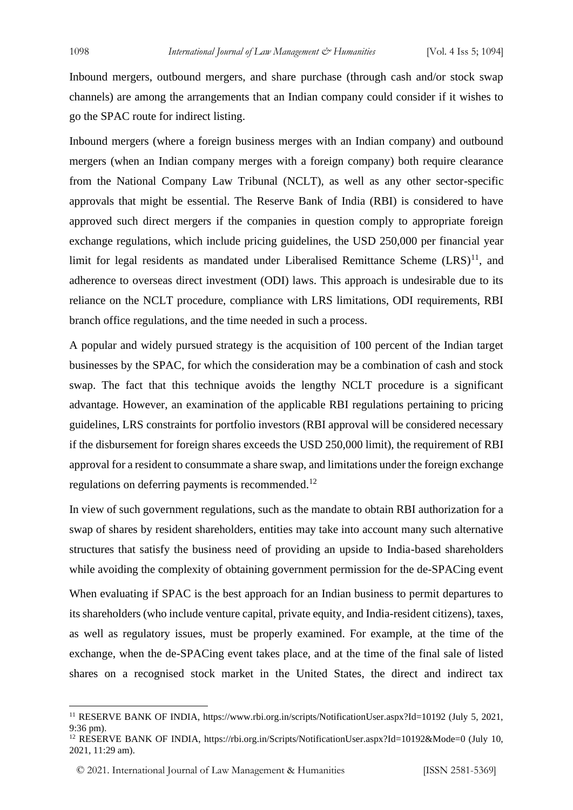Inbound mergers, outbound mergers, and share purchase (through cash and/or stock swap channels) are among the arrangements that an Indian company could consider if it wishes to go the SPAC route for indirect listing.

Inbound mergers (where a foreign business merges with an Indian company) and outbound mergers (when an Indian company merges with a foreign company) both require clearance from the National Company Law Tribunal (NCLT), as well as any other sector-specific approvals that might be essential. The Reserve Bank of India (RBI) is considered to have approved such direct mergers if the companies in question comply to appropriate foreign exchange regulations, which include pricing guidelines, the USD 250,000 per financial year limit for legal residents as mandated under Liberalised Remittance Scheme  $(LRS)^{11}$ , and adherence to overseas direct investment (ODI) laws. This approach is undesirable due to its reliance on the NCLT procedure, compliance with LRS limitations, ODI requirements, RBI branch office regulations, and the time needed in such a process.

A popular and widely pursued strategy is the acquisition of 100 percent of the Indian target businesses by the SPAC, for which the consideration may be a combination of cash and stock swap. The fact that this technique avoids the lengthy NCLT procedure is a significant advantage. However, an examination of the applicable RBI regulations pertaining to pricing guidelines, LRS constraints for portfolio investors (RBI approval will be considered necessary if the disbursement for foreign shares exceeds the USD 250,000 limit), the requirement of RBI approval for a resident to consummate a share swap, and limitations under the foreign exchange regulations on deferring payments is recommended.<sup>12</sup>

In view of such government regulations, such as the mandate to obtain RBI authorization for a swap of shares by resident shareholders, entities may take into account many such alternative structures that satisfy the business need of providing an upside to India-based shareholders while avoiding the complexity of obtaining government permission for the de-SPACing event

When evaluating if SPAC is the best approach for an Indian business to permit departures to its shareholders (who include venture capital, private equity, and India-resident citizens), taxes, as well as regulatory issues, must be properly examined. For example, at the time of the exchange, when the de-SPACing event takes place, and at the time of the final sale of listed shares on a recognised stock market in the United States, the direct and indirect tax

<sup>11</sup> RESERVE BANK OF INDIA, https://www.rbi.org.in/scripts/NotificationUser.aspx?Id=10192 (July 5, 2021, 9:36 pm).

<sup>12</sup> RESERVE BANK OF INDIA, https://rbi.org.in/Scripts/NotificationUser.aspx?Id=10192&Mode=0 (July 10, 2021, 11:29 am).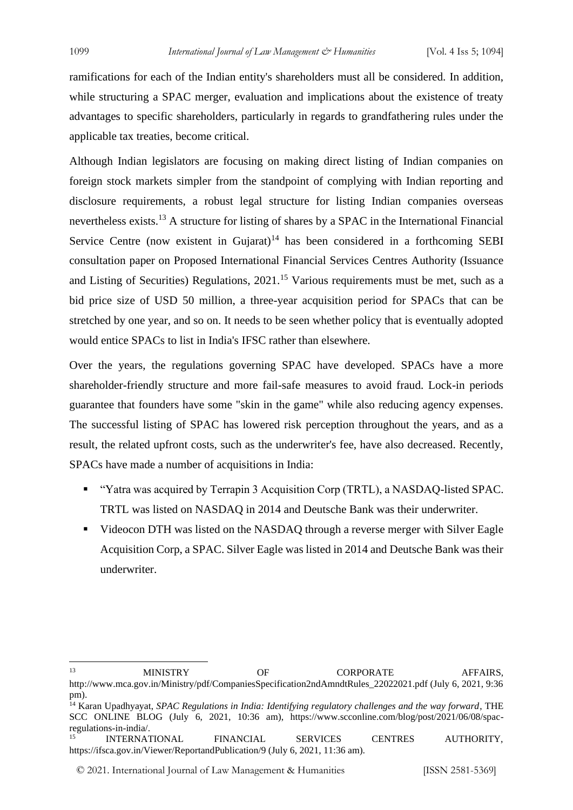ramifications for each of the Indian entity's shareholders must all be considered. In addition, while structuring a SPAC merger, evaluation and implications about the existence of treaty advantages to specific shareholders, particularly in regards to grandfathering rules under the applicable tax treaties, become critical.

Although Indian legislators are focusing on making direct listing of Indian companies on foreign stock markets simpler from the standpoint of complying with Indian reporting and disclosure requirements, a robust legal structure for listing Indian companies overseas nevertheless exists.<sup>13</sup> A structure for listing of shares by a SPAC in the International Financial Service Centre (now existent in Gujarat)<sup>14</sup> has been considered in a forthcoming SEBI consultation paper on Proposed International Financial Services Centres Authority (Issuance and Listing of Securities) Regulations, 2021.<sup>15</sup> Various requirements must be met, such as a bid price size of USD 50 million, a three-year acquisition period for SPACs that can be stretched by one year, and so on. It needs to be seen whether policy that is eventually adopted would entice SPACs to list in India's IFSC rather than elsewhere.

Over the years, the regulations governing SPAC have developed. SPACs have a more shareholder-friendly structure and more fail-safe measures to avoid fraud. Lock-in periods guarantee that founders have some "skin in the game" while also reducing agency expenses. The successful listing of SPAC has lowered risk perception throughout the years, and as a result, the related upfront costs, such as the underwriter's fee, have also decreased. Recently, SPACs have made a number of acquisitions in India:

- "Yatra was acquired by Terrapin 3 Acquisition Corp (TRTL), a NASDAO-listed SPAC. TRTL was listed on NASDAQ in 2014 and Deutsche Bank was their underwriter.
- Videocon DTH was listed on the NASDAQ through a reverse merger with Silver Eagle Acquisition Corp, a SPAC. Silver Eagle was listed in 2014 and Deutsche Bank was their underwriter.

© 2021. International Journal of [Law Management & Humanities](https://www.ijlmh.com/) [ISSN 2581-5369]

<sup>&</sup>lt;sup>13</sup> MINISTRY OF CORPORATE AFFAIRS. http://www.mca.gov.in/Ministry/pdf/CompaniesSpecification2ndAmndtRules\_22022021.pdf (July 6, 2021, 9:36

pm).

<sup>14</sup> Karan Upadhyayat, *SPAC Regulations in India: Identifying regulatory challenges and the way forward*, THE SCC ONLINE BLOG (July 6, 2021, 10:36 am), https://www.scconline.com/blog/post/2021/06/08/spacregulations-in-india/.

<sup>&</sup>lt;sup>15</sup> INTERNATIONAL FINANCIAL SERVICES CENTRES AUTHORITY, https://ifsca.gov.in/Viewer/ReportandPublication/9 (July 6, 2021, 11:36 am).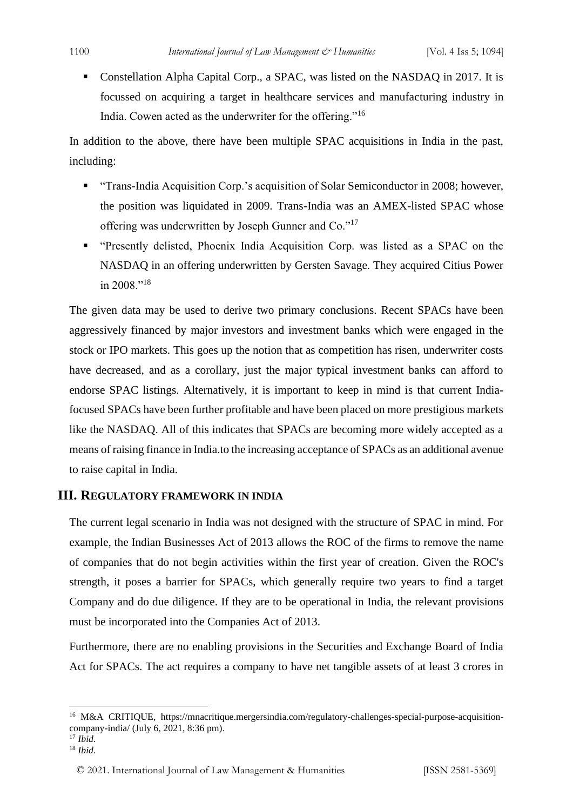Constellation Alpha Capital Corp., a SPAC, was listed on the NASDAQ in 2017. It is focussed on acquiring a target in healthcare services and manufacturing industry in India. Cowen acted as the underwriter for the offering."<sup>16</sup>

In addition to the above, there have been multiple SPAC acquisitions in India in the past, including:

- "Trans-India Acquisition Corp.'s acquisition of Solar Semiconductor in 2008; however, the position was liquidated in 2009. Trans-India was an AMEX-listed SPAC whose offering was underwritten by Joseph Gunner and Co."<sup>17</sup>
- "Presently delisted, Phoenix India Acquisition Corp. was listed as a SPAC on the NASDAQ in an offering underwritten by Gersten Savage. They acquired Citius Power in 2008."<sup>18</sup>

The given data may be used to derive two primary conclusions. Recent SPACs have been aggressively financed by major investors and investment banks which were engaged in the stock or IPO markets. This goes up the notion that as competition has risen, underwriter costs have decreased, and as a corollary, just the major typical investment banks can afford to endorse SPAC listings. Alternatively, it is important to keep in mind is that current Indiafocused SPACs have been further profitable and have been placed on more prestigious markets like the NASDAQ. All of this indicates that SPACs are becoming more widely accepted as a means of raising finance in India.to the increasing acceptance of SPACs as an additional avenue to raise capital in India.

# **III. REGULATORY FRAMEWORK IN INDIA**

The current legal scenario in India was not designed with the structure of SPAC in mind. For example, the Indian Businesses Act of 2013 allows the ROC of the firms to remove the name of companies that do not begin activities within the first year of creation. Given the ROC's strength, it poses a barrier for SPACs, which generally require two years to find a target Company and do due diligence. If they are to be operational in India, the relevant provisions must be incorporated into the Companies Act of 2013.

Furthermore, there are no enabling provisions in the Securities and Exchange Board of India Act for SPACs. The act requires a company to have net tangible assets of at least 3 crores in

<sup>16</sup> M&A CRITIQUE, https://mnacritique.mergersindia.com/regulatory-challenges-special-purpose-acquisitioncompany-india/ (July 6, 2021, 8:36 pm).

<sup>17</sup> *Ibid.*

<sup>18</sup> *Ibid.*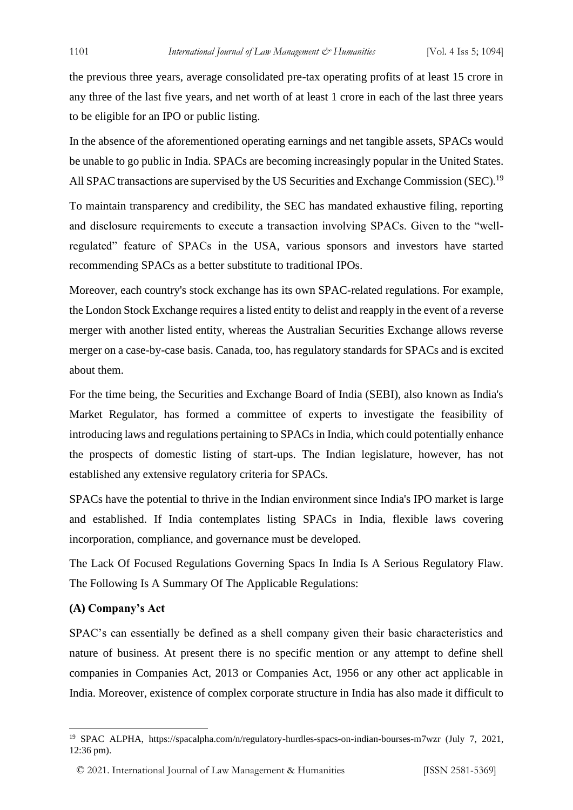the previous three years, average consolidated pre-tax operating profits of at least 15 crore in any three of the last five years, and net worth of at least 1 crore in each of the last three years to be eligible for an IPO or public listing.

In the absence of the aforementioned operating earnings and net tangible assets, SPACs would be unable to go public in India. SPACs are becoming increasingly popular in the United States. All SPAC transactions are supervised by the US Securities and Exchange Commission (SEC).<sup>19</sup>

To maintain transparency and credibility, the SEC has mandated exhaustive filing, reporting and disclosure requirements to execute a transaction involving SPACs. Given to the "wellregulated" feature of SPACs in the USA, various sponsors and investors have started recommending SPACs as a better substitute to traditional IPOs.

Moreover, each country's stock exchange has its own SPAC-related regulations. For example, the London Stock Exchange requires a listed entity to delist and reapply in the event of a reverse merger with another listed entity, whereas the Australian Securities Exchange allows reverse merger on a case-by-case basis. Canada, too, has regulatory standards for SPACs and is excited about them.

For the time being, the Securities and Exchange Board of India (SEBI), also known as India's Market Regulator, has formed a committee of experts to investigate the feasibility of introducing laws and regulations pertaining to SPACs in India, which could potentially enhance the prospects of domestic listing of start-ups. The Indian legislature, however, has not established any extensive regulatory criteria for SPACs.

SPACs have the potential to thrive in the Indian environment since India's IPO market is large and established. If India contemplates listing SPACs in India, flexible laws covering incorporation, compliance, and governance must be developed.

The Lack Of Focused Regulations Governing Spacs In India Is A Serious Regulatory Flaw. The Following Is A Summary Of The Applicable Regulations:

#### **(A) Company's Act**

SPAC's can essentially be defined as a shell company given their basic characteristics and nature of business. At present there is no specific mention or any attempt to define shell companies in Companies Act, 2013 or Companies Act, 1956 or any other act applicable in India. Moreover, existence of complex corporate structure in India has also made it difficult to

<sup>19</sup> SPAC ALPHA, https://spacalpha.com/n/regulatory-hurdles-spacs-on-indian-bourses-m7wzr (July 7, 2021, 12:36 pm).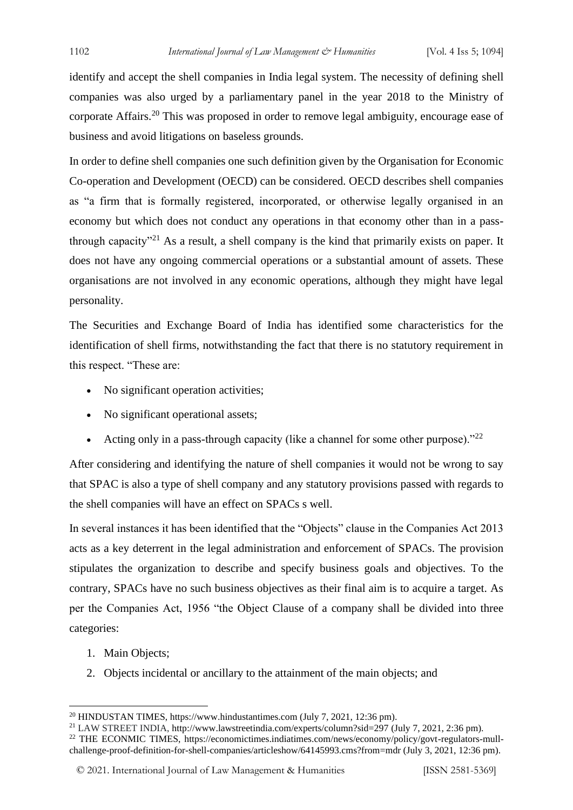identify and accept the shell companies in India legal system. The necessity of defining shell companies was also urged by a parliamentary panel in the year 2018 to the Ministry of corporate Affairs.<sup>20</sup> This was proposed in order to remove legal ambiguity, encourage ease of business and avoid litigations on baseless grounds.

In order to define shell companies one such definition given by the Organisation for Economic Co-operation and Development (OECD) can be considered. OECD describes shell companies as "a firm that is formally registered, incorporated, or otherwise legally organised in an economy but which does not conduct any operations in that economy other than in a passthrough capacity<sup> $21$ </sup> As a result, a shell company is the kind that primarily exists on paper. It does not have any ongoing commercial operations or a substantial amount of assets. These organisations are not involved in any economic operations, although they might have legal personality.

The Securities and Exchange Board of India has identified some characteristics for the identification of shell firms, notwithstanding the fact that there is no statutory requirement in this respect. "These are:

- No significant operation activities;
- No significant operational assets;
- Acting only in a pass-through capacity (like a channel for some other purpose)." $^{22}$

After considering and identifying the nature of shell companies it would not be wrong to say that SPAC is also a type of shell company and any statutory provisions passed with regards to the shell companies will have an effect on SPACs s well.

In several instances it has been identified that the "Objects" clause in the Companies Act 2013 acts as a key deterrent in the legal administration and enforcement of SPACs. The provision stipulates the organization to describe and specify business goals and objectives. To the contrary, SPACs have no such business objectives as their final aim is to acquire a target. As per the Companies Act, 1956 "the Object Clause of a company shall be divided into three categories:

- 1. Main Objects;
- 2. Objects incidental or ancillary to the attainment of the main objects; and

<sup>20</sup> HINDUSTAN TIMES, https://www.hindustantimes.com (July 7, 2021, 12:36 pm).

<sup>21</sup> LAW STREET INDIA, http://www.lawstreetindia.com/experts/column?sid=297 (July 7, 2021, 2:36 pm). <sup>22</sup> THE ECONMIC TIMES, https://economictimes.indiatimes.com/news/economy/policy/govt-regulators-mullchallenge-proof-definition-for-shell-companies/articleshow/64145993.cms?from=mdr (July 3, 2021, 12:36 pm).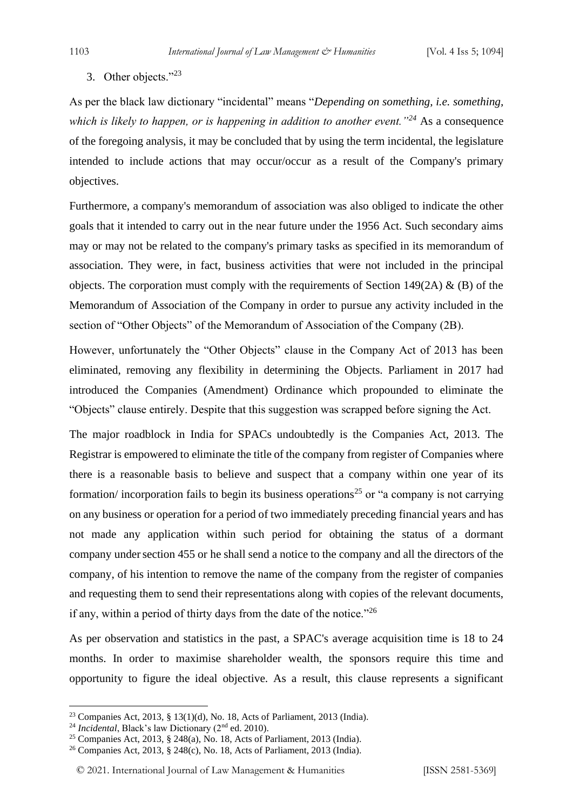3. Other objects."<sup>23</sup>

As per the black law dictionary "incidental" means "*Depending on something, i.e. something, which is likely to happen, or is happening in addition to another event."<sup>24</sup>* As a consequence of the foregoing analysis, it may be concluded that by using the term incidental, the legislature intended to include actions that may occur/occur as a result of the Company's primary objectives.

Furthermore, a company's memorandum of association was also obliged to indicate the other goals that it intended to carry out in the near future under the 1956 Act. Such secondary aims may or may not be related to the company's primary tasks as specified in its memorandum of association. They were, in fact, business activities that were not included in the principal objects. The corporation must comply with the requirements of Section 149(2A)  $\&$  (B) of the Memorandum of Association of the Company in order to pursue any activity included in the section of "Other Objects" of the Memorandum of Association of the Company (2B).

However, unfortunately the "Other Objects" clause in the Company Act of 2013 has been eliminated, removing any flexibility in determining the Objects. Parliament in 2017 had introduced the Companies (Amendment) Ordinance which propounded to eliminate the "Objects" clause entirely. Despite that this suggestion was scrapped before signing the Act.

The major roadblock in India for SPACs undoubtedly is the Companies Act, 2013. The Registrar is empowered to eliminate the title of the company from register of Companies where there is a reasonable basis to believe and suspect that a company within one year of its formation/ incorporation fails to begin its business operations<sup>25</sup> or "a company is not carrying on any business or operation for a period of two immediately preceding financial years and has not made any application within such period for obtaining the status of a dormant company under section 455 or he shall send a notice to the company and all the directors of the company, of his intention to remove the name of the company from the register of companies and requesting them to send their representations along with copies of the relevant documents, if any, within a period of thirty days from the date of the notice."<sup>26</sup>

As per observation and statistics in the past, a SPAC's average acquisition time is 18 to 24 months. In order to maximise shareholder wealth, the sponsors require this time and opportunity to figure the ideal objective. As a result, this clause represents a significant

<sup>23</sup> Companies Act, 2013, § 13(1)(d), No. 18, Acts of Parliament, 2013 (India).

<sup>&</sup>lt;sup>24</sup> *Incidental*, Black's law Dictionary (2<sup>nd</sup> ed. 2010).

<sup>25</sup> Companies Act, 2013, § 248(a), No. 18, Acts of Parliament, 2013 (India).

<sup>26</sup> Companies Act, 2013, § 248(c), No. 18, Acts of Parliament, 2013 (India).

<sup>© 2021.</sup> International Journal of [Law Management & Humanities](https://www.ijlmh.com/) [ISSN 2581-5369]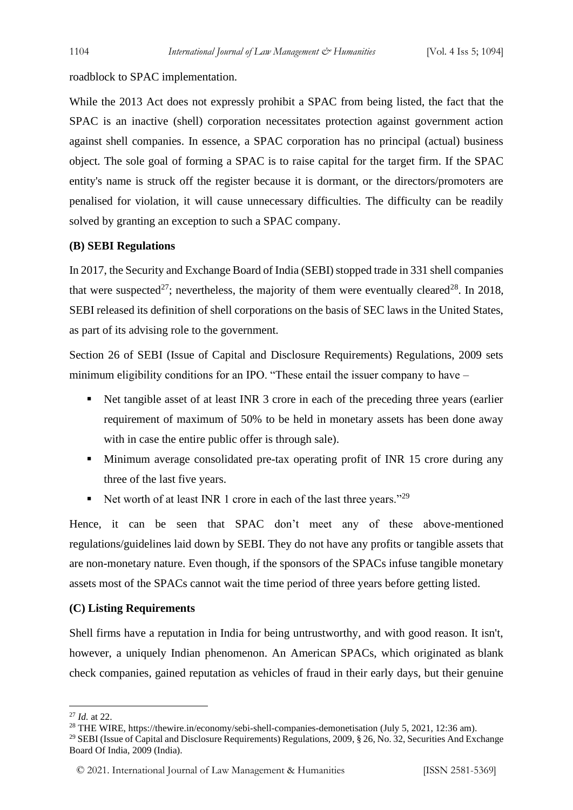roadblock to SPAC implementation.

While the 2013 Act does not expressly prohibit a SPAC from being listed, the fact that the SPAC is an inactive (shell) corporation necessitates protection against government action against shell companies. In essence, a SPAC corporation has no principal (actual) business object. The sole goal of forming a SPAC is to raise capital for the target firm. If the SPAC entity's name is struck off the register because it is dormant, or the directors/promoters are penalised for violation, it will cause unnecessary difficulties. The difficulty can be readily solved by granting an exception to such a SPAC company.

#### **(B) SEBI Regulations**

In 2017, the Security and Exchange Board of India (SEBI) stopped trade in 331 shell companies that were suspected<sup>27</sup>; nevertheless, the majority of them were eventually cleared<sup>28</sup>. In 2018, SEBI released its definition of shell corporations on the basis of SEC laws in the United States, as part of its advising role to the government.

Section 26 of SEBI (Issue of Capital and Disclosure Requirements) Regulations, 2009 sets minimum eligibility conditions for an IPO. "These entail the issuer company to have –

- Net tangible asset of at least INR 3 crore in each of the preceding three years (earlier requirement of maximum of 50% to be held in monetary assets has been done away with in case the entire public offer is through sale).
- Minimum average consolidated pre-tax operating profit of INR 15 crore during any three of the last five years.
- E Net worth of at least INR 1 crore in each of the last three years."<sup>29</sup>

Hence, it can be seen that SPAC don't meet any of these above-mentioned regulations/guidelines laid down by SEBI. They do not have any profits or tangible assets that are non-monetary nature. Even though, if the sponsors of the SPACs infuse tangible monetary assets most of the SPACs cannot wait the time period of three years before getting listed.

#### **(C) Listing Requirements**

Shell firms have a reputation in India for being untrustworthy, and with good reason. It isn't, however, a uniquely Indian phenomenon. An American SPACs, which originated as blank check companies, gained reputation as vehicles of fraud in their early days, but their genuine

<sup>27</sup> *Id.* at 22.

<sup>&</sup>lt;sup>28</sup> THE WIRE, https://thewire.in/economy/sebi-shell-companies-demonetisation (July 5, 2021, 12:36 am).

<sup>&</sup>lt;sup>29</sup> SEBI (Issue of Capital and Disclosure Requirements) Regulations, 2009, § 26, No. 32, Securities And Exchange Board Of India, 2009 (India).

<sup>© 2021.</sup> International Journal of [Law Management & Humanities](https://www.ijlmh.com/) [ISSN 2581-5369]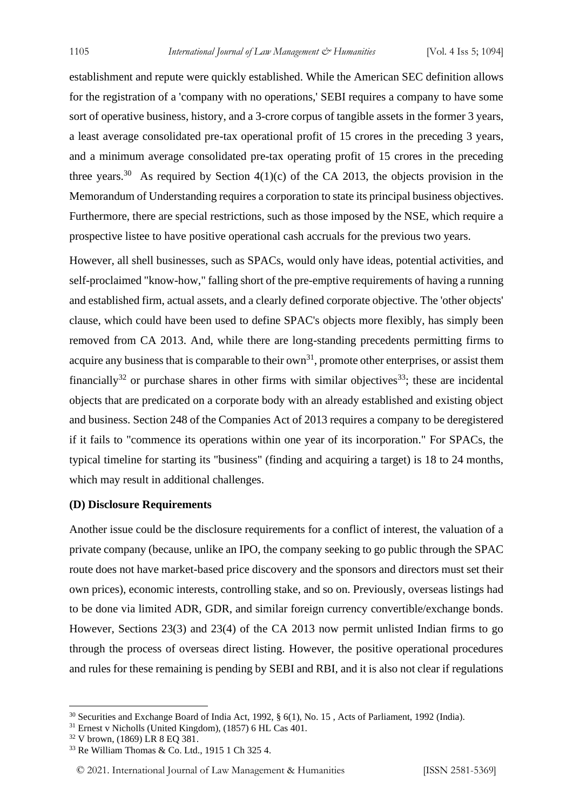establishment and repute were quickly established. While the American SEC definition allows for the registration of a 'company with no operations,' SEBI requires a company to have some sort of operative business, history, and a 3-crore corpus of tangible assets in the former 3 years, a least average consolidated pre-tax operational profit of 15 crores in the preceding 3 years, and a minimum average consolidated pre-tax operating profit of 15 crores in the preceding three years.<sup>30</sup> As required by Section  $4(1)(c)$  of the CA 2013, the objects provision in the Memorandum of Understanding requires a corporation to state its principal business objectives. Furthermore, there are special restrictions, such as those imposed by the NSE, which require a prospective listee to have positive operational cash accruals for the previous two years.

However, all shell businesses, such as SPACs, would only have ideas, potential activities, and self-proclaimed "know-how," falling short of the pre-emptive requirements of having a running and established firm, actual assets, and a clearly defined corporate objective. The 'other objects' clause, which could have been used to define SPAC's objects more flexibly, has simply been removed from CA 2013. And, while there are long-standing precedents permitting firms to acquire any business that is comparable to their  $own<sup>31</sup>$ , promote other enterprises, or assist them financially<sup>32</sup> or purchase shares in other firms with similar objectives<sup>33</sup>; these are incidental objects that are predicated on a corporate body with an already established and existing object and business. Section 248 of the Companies Act of 2013 requires a company to be deregistered if it fails to "commence its operations within one year of its incorporation." For SPACs, the typical timeline for starting its "business" (finding and acquiring a target) is 18 to 24 months, which may result in additional challenges.

#### **(D) Disclosure Requirements**

Another issue could be the disclosure requirements for a conflict of interest, the valuation of a private company (because, unlike an IPO, the company seeking to go public through the SPAC route does not have market-based price discovery and the sponsors and directors must set their own prices), economic interests, controlling stake, and so on. Previously, overseas listings had to be done via limited ADR, GDR, and similar foreign currency convertible/exchange bonds. However, Sections 23(3) and 23(4) of the CA 2013 now permit unlisted Indian firms to go through the process of overseas direct listing. However, the positive operational procedures and rules for these remaining is pending by SEBI and RBI, and it is also not clear if regulations

<sup>30</sup> Securities and Exchange Board of India Act, 1992, § 6(1), No. 15 , Acts of Parliament, 1992 (India).

<sup>31</sup> Ernest v Nicholls (United Kingdom), (1857) 6 HL Cas 401.

<sup>32</sup> V brown, (1869) LR 8 EQ 381.

<sup>33</sup> Re William Thomas & Co. Ltd., 1915 1 Ch 325 4.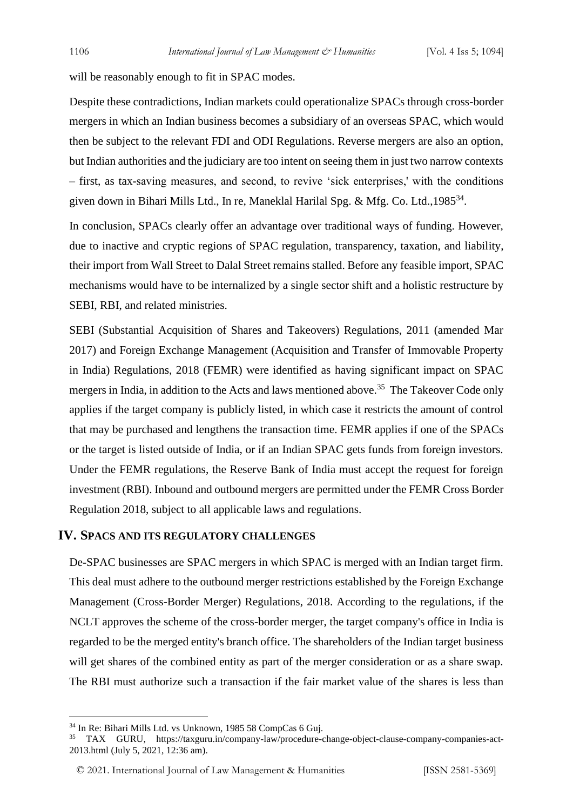will be reasonably enough to fit in SPAC modes.

Despite these contradictions, Indian markets could operationalize SPACs through cross-border mergers in which an Indian business becomes a subsidiary of an overseas SPAC, which would then be subject to the relevant FDI and ODI Regulations. Reverse mergers are also an option, but Indian authorities and the judiciary are too intent on seeing them in just two narrow contexts – first, as tax-saving measures, and second, to revive 'sick enterprises,' with the conditions given down in Bihari Mills Ltd., In re, Maneklal Harilal Spg. & Mfg. Co. Ltd., 1985<sup>34</sup>.

In conclusion, SPACs clearly offer an advantage over traditional ways of funding. However, due to inactive and cryptic regions of SPAC regulation, transparency, taxation, and liability, their import from Wall Street to Dalal Street remains stalled. Before any feasible import, SPAC mechanisms would have to be internalized by a single sector shift and a holistic restructure by SEBI, RBI, and related ministries.

SEBI (Substantial Acquisition of Shares and Takeovers) Regulations, 2011 (amended Mar 2017) and Foreign Exchange Management (Acquisition and Transfer of Immovable Property in India) Regulations, 2018 (FEMR) were identified as having significant impact on SPAC mergers in India, in addition to the Acts and laws mentioned above.<sup>35</sup> The Takeover Code only applies if the target company is publicly listed, in which case it restricts the amount of control that may be purchased and lengthens the transaction time. FEMR applies if one of the SPACs or the target is listed outside of India, or if an Indian SPAC gets funds from foreign investors. Under the FEMR regulations, the Reserve Bank of India must accept the request for foreign investment (RBI). Inbound and outbound mergers are permitted under the FEMR Cross Border Regulation 2018, subject to all applicable laws and regulations.

# **IV. SPACS AND ITS REGULATORY CHALLENGES**

De-SPAC businesses are SPAC mergers in which SPAC is merged with an Indian target firm. This deal must adhere to the outbound merger restrictions established by the Foreign Exchange Management (Cross-Border Merger) Regulations, 2018. According to the regulations, if the NCLT approves the scheme of the cross-border merger, the target company's office in India is regarded to be the merged entity's branch office. The shareholders of the Indian target business will get shares of the combined entity as part of the merger consideration or as a share swap. The RBI must authorize such a transaction if the fair market value of the shares is less than

<sup>34</sup> In Re: Bihari Mills Ltd. vs Unknown, 1985 58 CompCas 6 Guj.

<sup>35</sup> TAX GURU, https://taxguru.in/company-law/procedure-change-object-clause-company-companies-act-2013.html (July 5, 2021, 12:36 am).

<sup>© 2021.</sup> International Journal of [Law Management & Humanities](https://www.ijlmh.com/) [ISSN 2581-5369]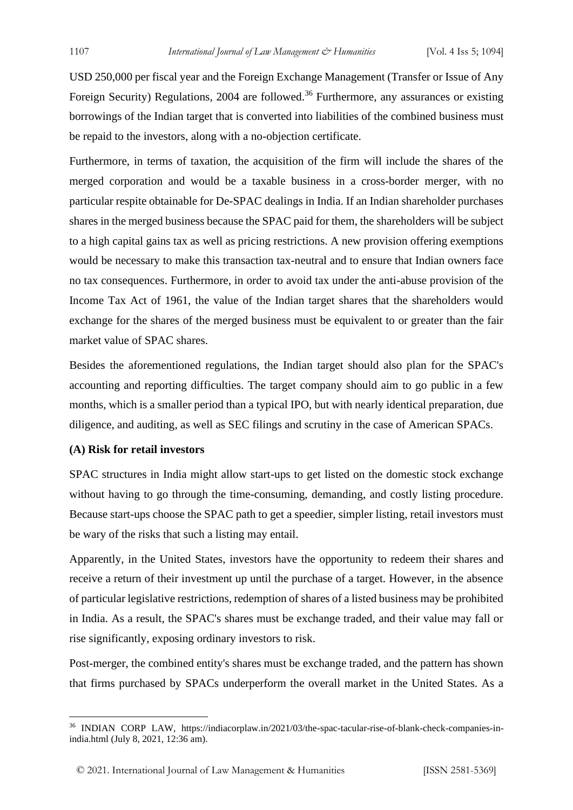USD 250,000 per fiscal year and the Foreign Exchange Management (Transfer or Issue of Any Foreign Security) Regulations, 2004 are followed.<sup>36</sup> Furthermore, any assurances or existing borrowings of the Indian target that is converted into liabilities of the combined business must be repaid to the investors, along with a no-objection certificate.

Furthermore, in terms of taxation, the acquisition of the firm will include the shares of the merged corporation and would be a taxable business in a cross-border merger, with no particular respite obtainable for De-SPAC dealings in India. If an Indian shareholder purchases shares in the merged business because the SPAC paid for them, the shareholders will be subject to a high capital gains tax as well as pricing restrictions. A new provision offering exemptions would be necessary to make this transaction tax-neutral and to ensure that Indian owners face no tax consequences. Furthermore, in order to avoid tax under the anti-abuse provision of the Income Tax Act of 1961, the value of the Indian target shares that the shareholders would exchange for the shares of the merged business must be equivalent to or greater than the fair market value of SPAC shares.

Besides the aforementioned regulations, the Indian target should also plan for the SPAC's accounting and reporting difficulties. The target company should aim to go public in a few months, which is a smaller period than a typical IPO, but with nearly identical preparation, due diligence, and auditing, as well as SEC filings and scrutiny in the case of American SPACs.

#### **(A) Risk for retail investors**

SPAC structures in India might allow start-ups to get listed on the domestic stock exchange without having to go through the time-consuming, demanding, and costly listing procedure. Because start-ups choose the SPAC path to get a speedier, simpler listing, retail investors must be wary of the risks that such a listing may entail.

Apparently, in the United States, investors have the opportunity to redeem their shares and receive a return of their investment up until the purchase of a target. However, in the absence of particular legislative restrictions, redemption of shares of a listed business may be prohibited in India. As a result, the SPAC's shares must be exchange traded, and their value may fall or rise significantly, exposing ordinary investors to risk.

Post-merger, the combined entity's shares must be exchange traded, and the pattern has shown that firms purchased by SPACs underperform the overall market in the United States. As a

<sup>36</sup> INDIAN CORP LAW, https://indiacorplaw.in/2021/03/the-spac-tacular-rise-of-blank-check-companies-inindia.html (July 8, 2021, 12:36 am).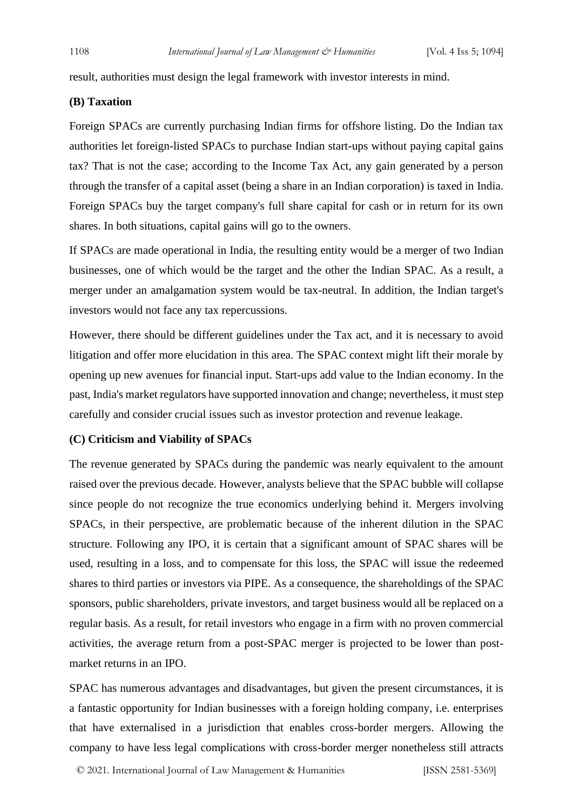result, authorities must design the legal framework with investor interests in mind.

# **(B) Taxation**

Foreign SPACs are currently purchasing Indian firms for offshore listing. Do the Indian tax authorities let foreign-listed SPACs to purchase Indian start-ups without paying capital gains tax? That is not the case; according to the Income Tax Act, any gain generated by a person through the transfer of a capital asset (being a share in an Indian corporation) is taxed in India. Foreign SPACs buy the target company's full share capital for cash or in return for its own shares. In both situations, capital gains will go to the owners.

If SPACs are made operational in India, the resulting entity would be a merger of two Indian businesses, one of which would be the target and the other the Indian SPAC. As a result, a merger under an amalgamation system would be tax-neutral. In addition, the Indian target's investors would not face any tax repercussions.

However, there should be different guidelines under the Tax act, and it is necessary to avoid litigation and offer more elucidation in this area. The SPAC context might lift their morale by opening up new avenues for financial input. Start-ups add value to the Indian economy. In the past, India's market regulators have supported innovation and change; nevertheless, it must step carefully and consider crucial issues such as investor protection and revenue leakage.

#### **(C) Criticism and Viability of SPACs**

The revenue generated by SPACs during the pandemic was nearly equivalent to the amount raised over the previous decade. However, analysts believe that the SPAC bubble will collapse since people do not recognize the true economics underlying behind it. Mergers involving SPACs, in their perspective, are problematic because of the inherent dilution in the SPAC structure. Following any IPO, it is certain that a significant amount of SPAC shares will be used, resulting in a loss, and to compensate for this loss, the SPAC will issue the redeemed shares to third parties or investors via PIPE. As a consequence, the shareholdings of the SPAC sponsors, public shareholders, private investors, and target business would all be replaced on a regular basis. As a result, for retail investors who engage in a firm with no proven commercial activities, the average return from a post-SPAC merger is projected to be lower than postmarket returns in an IPO.

SPAC has numerous advantages and disadvantages, but given the present circumstances, it is a fantastic opportunity for Indian businesses with a foreign holding company, i.e. enterprises that have externalised in a jurisdiction that enables cross-border mergers. Allowing the company to have less legal complications with cross-border merger nonetheless still attracts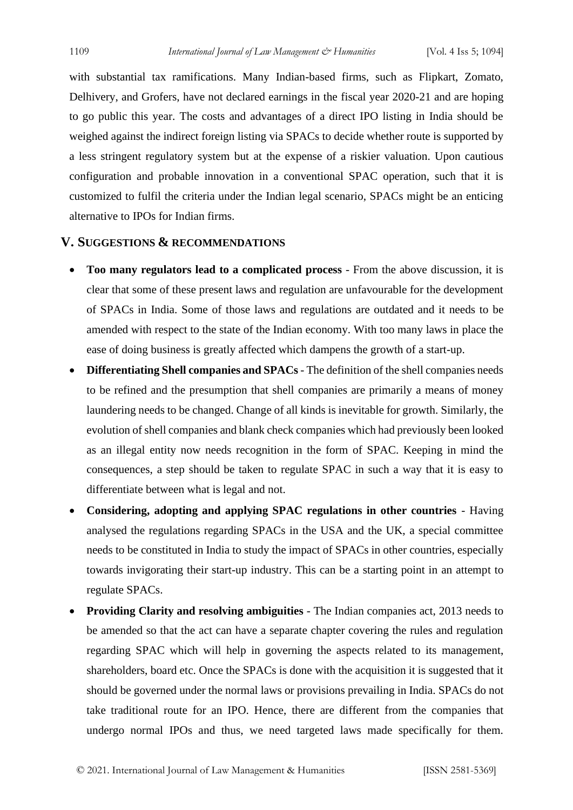with substantial tax ramifications. Many Indian-based firms, such as Flipkart, Zomato, Delhivery, and Grofers, have not declared earnings in the fiscal year 2020-21 and are hoping to go public this year. The costs and advantages of a direct IPO listing in India should be weighed against the indirect foreign listing via SPACs to decide whether route is supported by a less stringent regulatory system but at the expense of a riskier valuation. Upon cautious configuration and probable innovation in a conventional SPAC operation, such that it is customized to fulfil the criteria under the Indian legal scenario, SPACs might be an enticing alternative to IPOs for Indian firms.

# **V. SUGGESTIONS & RECOMMENDATIONS**

- **Too many regulators lead to a complicated process** From the above discussion, it is clear that some of these present laws and regulation are unfavourable for the development of SPACs in India. Some of those laws and regulations are outdated and it needs to be amended with respect to the state of the Indian economy. With too many laws in place the ease of doing business is greatly affected which dampens the growth of a start-up.
- **Differentiating Shell companies and SPACs** The definition of the shell companies needs to be refined and the presumption that shell companies are primarily a means of money laundering needs to be changed. Change of all kinds is inevitable for growth. Similarly, the evolution of shell companies and blank check companies which had previously been looked as an illegal entity now needs recognition in the form of SPAC. Keeping in mind the consequences, a step should be taken to regulate SPAC in such a way that it is easy to differentiate between what is legal and not.
- **Considering, adopting and applying SPAC regulations in other countries** Having analysed the regulations regarding SPACs in the USA and the UK, a special committee needs to be constituted in India to study the impact of SPACs in other countries, especially towards invigorating their start-up industry. This can be a starting point in an attempt to regulate SPACs.
- **Providing Clarity and resolving ambiguities** The Indian companies act, 2013 needs to be amended so that the act can have a separate chapter covering the rules and regulation regarding SPAC which will help in governing the aspects related to its management, shareholders, board etc. Once the SPACs is done with the acquisition it is suggested that it should be governed under the normal laws or provisions prevailing in India. SPACs do not take traditional route for an IPO. Hence, there are different from the companies that undergo normal IPOs and thus, we need targeted laws made specifically for them.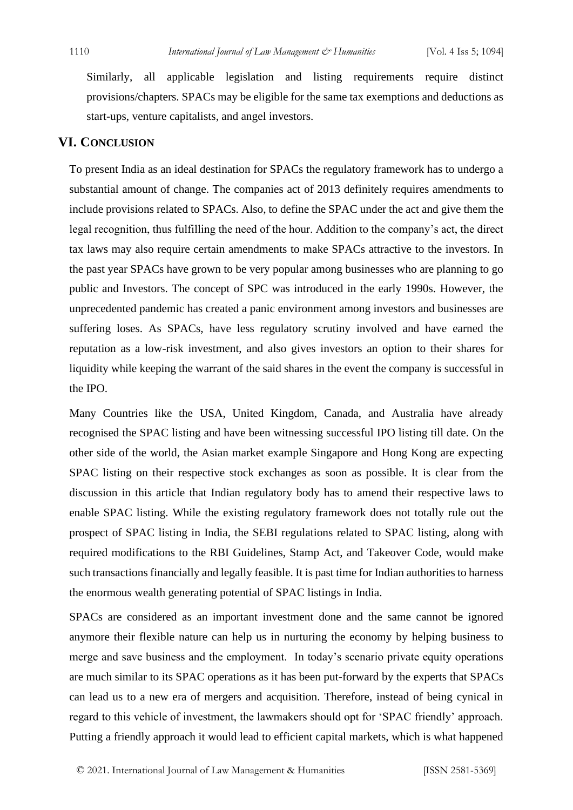Similarly, all applicable legislation and listing requirements require distinct provisions/chapters. SPACs may be eligible for the same tax exemptions and deductions as start-ups, venture capitalists, and angel investors.

# **VI. CONCLUSION**

To present India as an ideal destination for SPACs the regulatory framework has to undergo a substantial amount of change. The companies act of 2013 definitely requires amendments to include provisions related to SPACs. Also, to define the SPAC under the act and give them the legal recognition, thus fulfilling the need of the hour. Addition to the company's act, the direct tax laws may also require certain amendments to make SPACs attractive to the investors. In the past year SPACs have grown to be very popular among businesses who are planning to go public and Investors. The concept of SPC was introduced in the early 1990s. However, the unprecedented pandemic has created a panic environment among investors and businesses are suffering loses. As SPACs, have less regulatory scrutiny involved and have earned the reputation as a low-risk investment, and also gives investors an option to their shares for liquidity while keeping the warrant of the said shares in the event the company is successful in the IPO.

Many Countries like the USA, United Kingdom, Canada, and Australia have already recognised the SPAC listing and have been witnessing successful IPO listing till date. On the other side of the world, the Asian market example Singapore and Hong Kong are expecting SPAC listing on their respective stock exchanges as soon as possible. It is clear from the discussion in this article that Indian regulatory body has to amend their respective laws to enable SPAC listing. While the existing regulatory framework does not totally rule out the prospect of SPAC listing in India, the SEBI regulations related to SPAC listing, along with required modifications to the RBI Guidelines, Stamp Act, and Takeover Code, would make such transactions financially and legally feasible. It is past time for Indian authorities to harness the enormous wealth generating potential of SPAC listings in India.

SPACs are considered as an important investment done and the same cannot be ignored anymore their flexible nature can help us in nurturing the economy by helping business to merge and save business and the employment. In today's scenario private equity operations are much similar to its SPAC operations as it has been put-forward by the experts that SPACs can lead us to a new era of mergers and acquisition. Therefore, instead of being cynical in regard to this vehicle of investment, the lawmakers should opt for 'SPAC friendly' approach. Putting a friendly approach it would lead to efficient capital markets, which is what happened